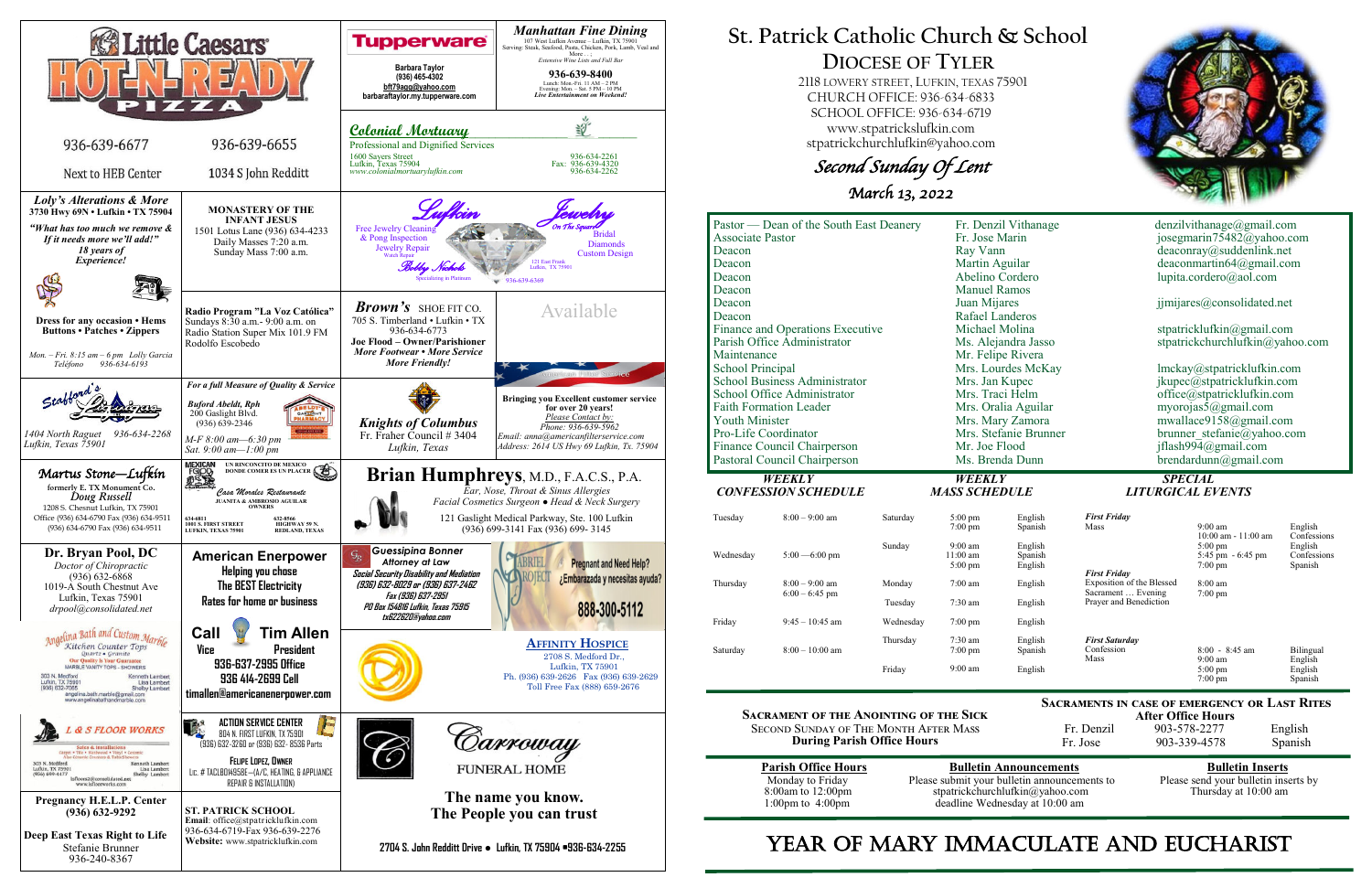

# **St. Patrick Catholic Church & School DIOCESE OF TYLER**

 2118 LOWERY STREET, LUFKIN, TEXAS 75901 CHURCH OFFICE: 936-634-6833 SCHOOL OFFICE: 936-634-6719 www.stpatrickslufkin.com stpatrickchurchlufkin@yahoo.com

Second Sunday Of Lent

March 13, 2022

|                                      | Pastor — Dean of the South East Deanery |           | Fr. Denzil Vithanage  |                    | denzilvithanage@gmail.com                    |                                        |                        |  |
|--------------------------------------|-----------------------------------------|-----------|-----------------------|--------------------|----------------------------------------------|----------------------------------------|------------------------|--|
| <b>Associate Pastor</b>              |                                         |           | Fr. Jose Marin        |                    | josegmarin75482@yahoo.com                    |                                        |                        |  |
| Deacon                               |                                         |           | Ray Vann              |                    |                                              | deaconray@suddenlink.net               |                        |  |
| Deacon                               |                                         |           | Martin Aguilar        |                    | deaconmartin64@gmail.com                     |                                        |                        |  |
| Deacon                               |                                         |           | Abelino Cordero       |                    |                                              | lupita.cordero@aol.com                 |                        |  |
| Deacon                               |                                         |           | <b>Manuel Ramos</b>   |                    |                                              |                                        |                        |  |
| Deacon                               |                                         |           | Juan Mijares          |                    | jjmijares@consolidated.net                   |                                        |                        |  |
| Deacon                               |                                         |           | Rafael Landeros       |                    |                                              |                                        |                        |  |
| Finance and Operations Executive     |                                         |           | Michael Molina        |                    | stpatricklufkin@gmail.com                    |                                        |                        |  |
| Parish Office Administrator          |                                         |           | Ms. Alejandra Jasso   |                    | stpatrickchurchlufkin@yahoo.com              |                                        |                        |  |
| Maintenance                          |                                         |           |                       | Mr. Felipe Rivera  |                                              |                                        |                        |  |
| <b>School Principal</b>              |                                         |           |                       | Mrs. Lourdes McKay | lmckay@stpatricklufkin.com                   |                                        |                        |  |
| <b>School Business Administrator</b> |                                         |           | Mrs. Jan Kupec        |                    | jkupec@stpatricklufkin.com                   |                                        |                        |  |
| School Office Administrator          |                                         |           | Mrs. Traci Helm       |                    | office@stpatricklufkin.com                   |                                        |                        |  |
| <b>Faith Formation Leader</b>        |                                         |           | Mrs. Oralia Aguilar   |                    | myorojas5@gmail.com                          |                                        |                        |  |
| <b>Youth Minister</b>                |                                         |           | Mrs. Mary Zamora      |                    | mwallace9158@gmail.com                       |                                        |                        |  |
| Pro-Life Coordinator                 |                                         |           | Mrs. Stefanie Brunner |                    | brunner stefanie@yahoo.com                   |                                        |                        |  |
| Finance Council Chairperson          |                                         |           | Mr. Joe Flood         |                    | jflash994@gmail.com                          |                                        |                        |  |
| Pastoral Council Chairperson         |                                         |           | Ms. Brenda Dunn       |                    | $b$ rendardunn@gmail.com                     |                                        |                        |  |
| <b>WEEKLY</b>                        |                                         |           | WEEKLY                |                    | <b>SPECIAL</b>                               |                                        |                        |  |
| <b>CONFESSION SCHEDULE</b>           |                                         |           | <b>MASS SCHEDULE</b>  |                    | <b>LITURGICAL EVENTS</b>                     |                                        |                        |  |
|                                      |                                         |           |                       |                    |                                              |                                        |                        |  |
| Tuesday                              | $8:00 - 9:00$ am                        | Saturday  | $5:00 \text{ pm}$     | English            | <b>First Friday</b><br>Mass                  | $9:00$ am                              |                        |  |
|                                      |                                         |           | $7:00$ pm             | Spanish            |                                              | $10:00$ am - $11:00$ am                | English<br>Confessions |  |
|                                      | $5:00 - 6:00$ pm                        | Sunday    | $9:00$ am             | English            |                                              | $5:00 \text{ pm}$                      | English                |  |
| Wednesday                            |                                         |           | $11:00$ am            | Spanish            | <b>First Friday</b>                          | 5:45 pm - 6:45 pm<br>$7:00 \text{ pm}$ | Confessions            |  |
|                                      |                                         |           | $5:00 \text{ pm}$     | English            |                                              |                                        | Spanish                |  |
| Thursday                             | $8:00 - 9:00$ am<br>$6:00 - 6:45$ pm    | Monday    | $7:00$ am             | English            | Exposition of the Blessed                    | $8:00$ am                              |                        |  |
|                                      |                                         | Tuesday   |                       | 7:30 am<br>English | Sacrament  Evening<br>Prayer and Benediction | $7:00 \text{ pm}$                      |                        |  |
|                                      |                                         |           |                       |                    |                                              |                                        |                        |  |
| Friday                               | $9:45 - 10:45$ am                       | Wednesday | $7:00 \text{ pm}$     | English            |                                              |                                        |                        |  |
|                                      |                                         |           |                       |                    |                                              |                                        |                        |  |

**Sacrament of the Anointing of the Sick** Second Sunday of The Month After Mass **During Parish Office Hours** 

| <b>Parish Office Hours</b> |  |
|----------------------------|--|
| Monday to Friday           |  |
| 8:00am to 12:00pm          |  |
| $1:00$ pm to $4:00$ pm     |  |
|                            |  |

**Parish Bulletin Announcements**<br> **Please send your bulletin inserts** by<br> **Please send your bulletin inserts** by Please submit your bulletin announcements to stpatrickchurchlufkin@yahoo.com Thursday at 10:00 am deadline Wednesday at 10:00 am

# YEAR OF MARY IMMACULATE AND EUCHARIST



**Sacraments in case of emergency or Last Rites** 

**After Office Hours**<br>Fr. Denzil 903-578-2277 903-578-2277 English Fr. Jose 903-339-4578 Spanish

| Tuesday   | $8:00 - 9:00$ am                     | Saturday  | $5:00 \text{ pm}$<br>$7:00 \text{ pm}$               |
|-----------|--------------------------------------|-----------|------------------------------------------------------|
| Wednesday | $5:00 - 6:00$ pm                     | Sunday    | $9:00 \text{ am}$<br>$11:00 \text{ am}$<br>$5:00$ pm |
| Thursday  | $8:00 - 9:00$ am<br>$6:00 - 6:45$ pm | Monday    | $7:00 \text{ am}$                                    |
|           |                                      | Tuesday   | $7:30 \text{ am}$                                    |
| Friday    | $9:45 - 10:45$ am                    | Wednesday | $7:00 \text{ pm}$                                    |
| Saturday  | $8:00-10:00$ am                      | Thursday  | $7:30 \text{ am}$<br>$7:00 \text{ pm}$               |
|           |                                      | Fridav    | $9:00 \text{ am}$                                    |

### English Spanish English *First Saturday* Confession Mass 8:00 - 8:45 am 9:00 am 5:00 pm  $7:00 \text{ nm}$ Bilingual English English Spanish